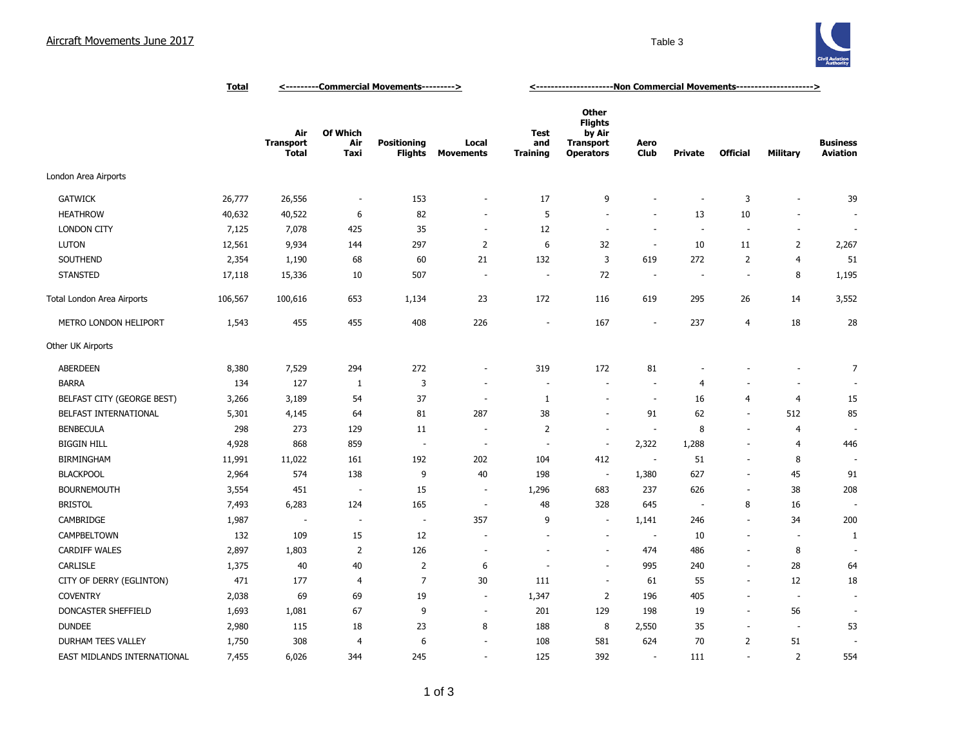

|                             | <b>Total</b> | <---------Commercial Movements---------> |                         |                                      |                           | <---------------------Ron Commercial Movements---------------------> |                                                                                  |                          |                |                          |                          |                                    |
|-----------------------------|--------------|------------------------------------------|-------------------------|--------------------------------------|---------------------------|----------------------------------------------------------------------|----------------------------------------------------------------------------------|--------------------------|----------------|--------------------------|--------------------------|------------------------------------|
|                             |              | Air<br><b>Transport</b><br><b>Total</b>  | Of Which<br>Air<br>Taxi | <b>Positioning</b><br><b>Flights</b> | Local<br><b>Movements</b> | <b>Test</b><br>and<br><b>Training</b>                                | <b>Other</b><br><b>Flights</b><br>by Air<br><b>Transport</b><br><b>Operators</b> | Aero<br><b>Club</b>      | <b>Private</b> | <b>Official</b>          | <b>Military</b>          | <b>Business</b><br><b>Aviation</b> |
| London Area Airports        |              |                                          |                         |                                      |                           |                                                                      |                                                                                  |                          |                |                          |                          |                                    |
| <b>GATWICK</b>              | 26,777       | 26,556                                   | $\overline{a}$          | 153                                  | $\overline{\phantom{a}}$  | 17                                                                   | 9                                                                                |                          | ٠              | 3                        | ٠                        | 39                                 |
| <b>HEATHROW</b>             | 40,632       | 40,522                                   | 6                       | 82                                   | ٠                         | 5                                                                    | $\sim$                                                                           | $\sim$                   | 13             | 10                       | ٠                        |                                    |
| <b>LONDON CITY</b>          | 7,125        | 7,078                                    | 425                     | 35                                   | $\sim$                    | 12                                                                   | ÷.                                                                               | $\sim$                   | ÷.             | $\overline{a}$           | $\sim$                   | $\overline{\phantom{a}}$           |
| <b>LUTON</b>                | 12,561       | 9,934                                    | 144                     | 297                                  | $\overline{2}$            | 6                                                                    | 32                                                                               | $\sim$                   | 10             | 11                       | $\overline{2}$           | 2,267                              |
| SOUTHEND                    | 2,354        | 1,190                                    | 68                      | 60                                   | 21                        | 132                                                                  | 3                                                                                | 619                      | 272            | $\overline{2}$           | $\overline{4}$           | 51                                 |
| <b>STANSTED</b>             | 17,118       | 15,336                                   | 10                      | 507                                  | $\overline{\phantom{a}}$  | $\sim$                                                               | 72                                                                               | $\sim$                   | $\sim$         | $\overline{\phantom{a}}$ | 8                        | 1,195                              |
| Total London Area Airports  | 106,567      | 100,616                                  | 653                     | 1,134                                | 23                        | 172                                                                  | 116                                                                              | 619                      | 295            | 26                       | 14                       | 3,552                              |
| METRO LONDON HELIPORT       | 1,543        | 455                                      | 455                     | 408                                  | 226                       |                                                                      | 167                                                                              | $\overline{\phantom{a}}$ | 237            | 4                        | 18                       | 28                                 |
| Other UK Airports           |              |                                          |                         |                                      |                           |                                                                      |                                                                                  |                          |                |                          |                          |                                    |
| <b>ABERDEEN</b>             | 8,380        | 7,529                                    | 294                     | 272                                  | ٠                         | 319                                                                  | 172                                                                              | 81                       |                |                          |                          | $\overline{7}$                     |
| <b>BARRA</b>                | 134          | 127                                      | 1                       | 3                                    |                           |                                                                      | $\sim$                                                                           | $\overline{\phantom{a}}$ | 4              |                          | $\sim$                   |                                    |
| BELFAST CITY (GEORGE BEST)  | 3,266        | 3,189                                    | 54                      | 37                                   | ÷.                        | $\mathbf{1}$                                                         | $\sim$                                                                           | $\sim$                   | 16             | 4                        | $\overline{4}$           | 15                                 |
| BELFAST INTERNATIONAL       | 5,301        | 4,145                                    | 64                      | 81                                   | 287                       | 38                                                                   | $\sim$                                                                           | 91                       | 62             | $\overline{\phantom{a}}$ | 512                      | 85                                 |
| <b>BENBECULA</b>            | 298          | 273                                      | 129                     | 11                                   | $\overline{\phantom{a}}$  | $\overline{2}$                                                       | $\overline{\phantom{a}}$                                                         | $\sim$                   | 8              | $\sim$                   | $\overline{4}$           |                                    |
| <b>BIGGIN HILL</b>          | 4,928        | 868                                      | 859                     | $\sim$                               | ÷.                        | $\sim$                                                               | $\sim$                                                                           | 2,322                    | 1,288          | $\overline{a}$           | $\overline{4}$           | 446                                |
| <b>BIRMINGHAM</b>           | 11,991       | 11,022                                   | 161                     | 192                                  | 202                       | 104                                                                  | 412                                                                              | $\sim$                   | 51             | $\overline{\phantom{a}}$ | 8                        |                                    |
| <b>BLACKPOOL</b>            | 2,964        | 574                                      | 138                     | 9                                    | 40                        | 198                                                                  | $\sim$                                                                           | 1,380                    | 627            | $\sim$                   | 45                       | 91                                 |
| <b>BOURNEMOUTH</b>          | 3,554        | 451                                      | $\sim$                  | 15                                   | $\sim$                    | 1,296                                                                | 683                                                                              | 237                      | 626            | $\blacksquare$           | 38                       | 208                                |
| <b>BRISTOL</b>              | 7,493        | 6,283                                    | 124                     | 165                                  | $\sim$                    | 48                                                                   | 328                                                                              | 645                      | $\sim$         | 8                        | 16                       |                                    |
| CAMBRIDGE                   | 1,987        | ٠.                                       | ٠.                      | $\sim$                               | 357                       | 9                                                                    | $\sim$                                                                           | 1,141                    | 246            | $\sim$                   | 34                       | 200                                |
| CAMPBELTOWN                 | 132          | 109                                      | 15                      | 12                                   |                           |                                                                      | $\sim$                                                                           | $\overline{\phantom{a}}$ | 10             |                          | $\overline{\phantom{a}}$ | 1                                  |
| <b>CARDIFF WALES</b>        | 2,897        | 1,803                                    | 2                       | 126                                  | ÷,                        |                                                                      | $\sim$                                                                           | 474                      | 486            |                          | 8                        |                                    |
| CARLISLE                    | 1,375        | 40                                       | 40                      | $\overline{2}$                       | 6                         |                                                                      | $\overline{\phantom{a}}$                                                         | 995                      | 240            |                          | 28                       | 64                                 |
| CITY OF DERRY (EGLINTON)    | 471          | 177                                      | $\overline{4}$          | $\overline{7}$                       | 30                        | 111                                                                  | $\sim$                                                                           | 61                       | 55             | $\sim$                   | 12                       | 18                                 |
| <b>COVENTRY</b>             | 2,038        | 69                                       | 69                      | 19                                   | $\overline{\phantom{a}}$  | 1,347                                                                | 2                                                                                | 196                      | 405            |                          | $\sim$                   |                                    |
| DONCASTER SHEFFIELD         | 1,693        | 1,081                                    | 67                      | 9                                    | $\sim$                    | 201                                                                  | 129                                                                              | 198                      | 19             | $\overline{\phantom{a}}$ | 56                       |                                    |
| <b>DUNDEE</b>               | 2,980        | 115                                      | 18                      | 23                                   | 8                         | 188                                                                  | 8                                                                                | 2,550                    | 35             | $\sim$                   | $\overline{\phantom{a}}$ | 53                                 |
| DURHAM TEES VALLEY          | 1,750        | 308                                      | $\overline{4}$          | 6                                    |                           | 108                                                                  | 581                                                                              | 624                      | 70             | $\overline{2}$           | 51                       |                                    |
| EAST MIDLANDS INTERNATIONAL | 7,455        | 6,026                                    | 344                     | 245                                  | ÷,                        | 125                                                                  | 392                                                                              | $\overline{\phantom{a}}$ | 111            | $\sim$                   | $\overline{2}$           | 554                                |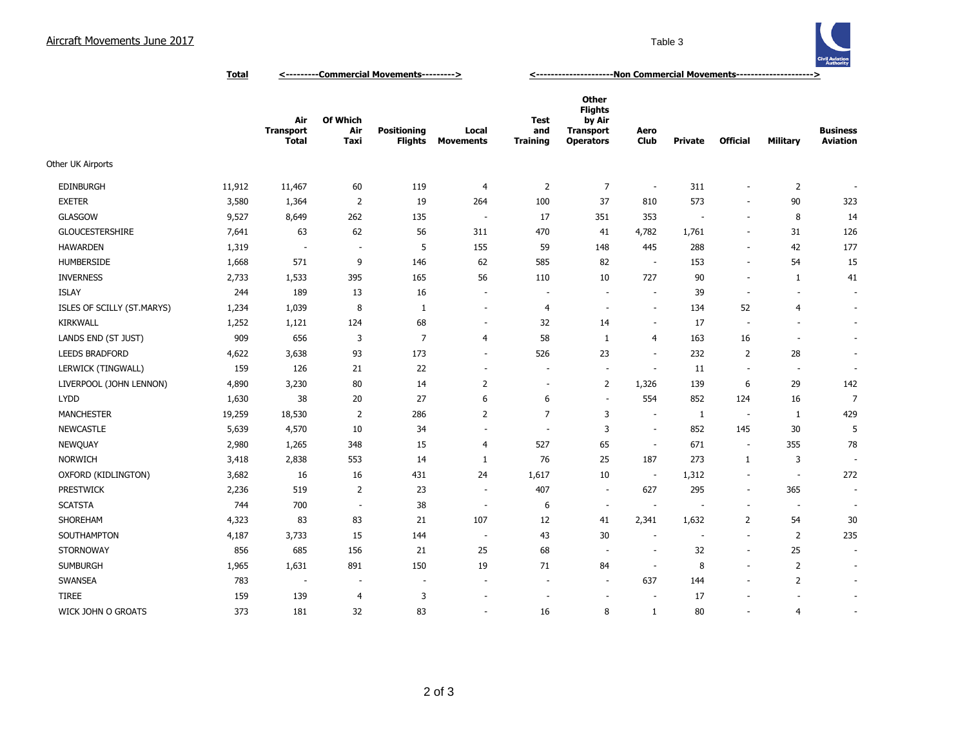## Aircraft Movements June 2017 Table 3



**Total <---------Commercial Movements---------> <---------------------Non Commercial Movements--------------------->**

|                            |        | Air<br><b>Transport</b><br><b>Total</b> | Of Which<br>Air<br>Taxi | <b>Positioning</b><br><b>Flights</b> | Local<br><b>Movements</b> | <b>Test</b><br>and<br><b>Training</b> | <b>Other</b><br><b>Flights</b><br>by Air<br><b>Transport</b><br><b>Operators</b> | Aero<br>Club             | <b>Private</b>           | <b>Official</b>          | <b>Military</b>          | <b>Business</b><br><b>Aviation</b> |
|----------------------------|--------|-----------------------------------------|-------------------------|--------------------------------------|---------------------------|---------------------------------------|----------------------------------------------------------------------------------|--------------------------|--------------------------|--------------------------|--------------------------|------------------------------------|
| Other UK Airports          |        |                                         |                         |                                      |                           |                                       |                                                                                  |                          |                          |                          |                          |                                    |
| <b>EDINBURGH</b>           | 11,912 | 11,467                                  | 60                      | 119                                  | $\overline{4}$            | $\overline{2}$                        | $\overline{7}$                                                                   | $\overline{\phantom{a}}$ | 311                      | $\overline{\phantom{a}}$ | $\overline{2}$           |                                    |
| <b>EXETER</b>              | 3,580  | 1,364                                   | 2                       | 19                                   | 264                       | 100                                   | 37                                                                               | 810                      | 573                      | $\overline{\phantom{a}}$ | 90                       | 323                                |
| <b>GLASGOW</b>             | 9,527  | 8,649                                   | 262                     | 135                                  | $\sim$                    | 17                                    | 351                                                                              | 353                      | $\overline{\phantom{a}}$ | ÷.                       | 8                        | 14                                 |
| <b>GLOUCESTERSHIRE</b>     | 7,641  | 63                                      | 62                      | 56                                   | 311                       | 470                                   | 41                                                                               | 4,782                    | 1,761                    | $\sim$                   | 31                       | 126                                |
| <b>HAWARDEN</b>            | 1,319  | $\overline{\phantom{a}}$                | $\overline{a}$          | 5                                    | 155                       | 59                                    | 148                                                                              | 445                      | 288                      | $\overline{\phantom{a}}$ | 42                       | 177                                |
| <b>HUMBERSIDE</b>          | 1,668  | 571                                     | 9                       | 146                                  | 62                        | 585                                   | 82                                                                               | $\sim$                   | 153                      | $\overline{\phantom{a}}$ | 54                       | 15                                 |
| <b>INVERNESS</b>           | 2,733  | 1,533                                   | 395                     | 165                                  | 56                        | 110                                   | 10                                                                               | 727                      | 90                       | $\overline{\phantom{a}}$ | 1                        | 41                                 |
| <b>ISLAY</b>               | 244    | 189                                     | 13                      | 16                                   | $\overline{\phantom{a}}$  | $\sim$                                | $\overline{\phantom{a}}$                                                         | $\sim$                   | 39                       | $\overline{\phantom{a}}$ | $\sim$                   | $\overline{\phantom{a}}$           |
| ISLES OF SCILLY (ST.MARYS) | 1,234  | 1,039                                   | 8                       | 1                                    | $\overline{\phantom{a}}$  | $\overline{4}$                        | $\sim$                                                                           | $\sim$                   | 134                      | 52                       | $\overline{4}$           | $\overline{\phantom{a}}$           |
| <b>KIRKWALL</b>            | 1,252  | 1,121                                   | 124                     | 68                                   | $\overline{\phantom{a}}$  | 32                                    | 14                                                                               | $\overline{\phantom{a}}$ | 17                       | $\sim$                   | $\sim$                   | $\overline{\phantom{a}}$           |
| LANDS END (ST JUST)        | 909    | 656                                     | 3                       | $\overline{7}$                       | 4                         | 58                                    | 1                                                                                | $\overline{4}$           | 163                      | 16                       | $\overline{\phantom{a}}$ | $\overline{\phantom{a}}$           |
| <b>LEEDS BRADFORD</b>      | 4,622  | 3,638                                   | 93                      | 173                                  | $\overline{\phantom{a}}$  | 526                                   | 23                                                                               | $\overline{\phantom{a}}$ | 232                      | $\overline{2}$           | 28                       | $\overline{\phantom{a}}$           |
| LERWICK (TINGWALL)         | 159    | 126                                     | 21                      | 22                                   | $\sim$                    | $\overline{\phantom{a}}$              | $\overline{\phantom{a}}$                                                         | $\overline{\phantom{a}}$ | 11                       | $\overline{\phantom{a}}$ | $\overline{\phantom{a}}$ | $\overline{\phantom{a}}$           |
| LIVERPOOL (JOHN LENNON)    | 4,890  | 3,230                                   | 80                      | 14                                   | $\overline{2}$            | $\overline{\phantom{a}}$              | 2                                                                                | 1,326                    | 139                      | 6                        | 29                       | 142                                |
| <b>LYDD</b>                | 1,630  | 38                                      | 20                      | 27                                   | 6                         | 6                                     | $\sim$                                                                           | 554                      | 852                      | 124                      | 16                       | $\overline{7}$                     |
| <b>MANCHESTER</b>          | 19,259 | 18,530                                  | 2                       | 286                                  | $\overline{2}$            | $\overline{7}$                        | 3                                                                                | $\sim$                   | 1                        | $\sim$                   | 1                        | 429                                |
| <b>NEWCASTLE</b>           | 5,639  | 4,570                                   | 10                      | 34                                   | ÷,                        | $\sim$                                | 3                                                                                | $\overline{\phantom{a}}$ | 852                      | 145                      | 30                       | 5                                  |
| <b>NEWQUAY</b>             | 2,980  | 1,265                                   | 348                     | 15                                   | 4                         | 527                                   | 65                                                                               | $\overline{\phantom{a}}$ | 671                      | $\overline{\phantom{a}}$ | 355                      | 78                                 |
| <b>NORWICH</b>             | 3,418  | 2,838                                   | 553                     | 14                                   | 1                         | 76                                    | 25                                                                               | 187                      | 273                      | $\mathbf{1}$             | 3                        |                                    |
| OXFORD (KIDLINGTON)        | 3,682  | 16                                      | 16                      | 431                                  | 24                        | 1,617                                 | 10                                                                               | $\overline{\phantom{a}}$ | 1,312                    | $\overline{\phantom{a}}$ | $\overline{\phantom{a}}$ | 272                                |
| <b>PRESTWICK</b>           | 2,236  | 519                                     | 2                       | 23                                   | $\overline{\phantom{a}}$  | 407                                   | $\overline{\phantom{a}}$                                                         | 627                      | 295                      | $\overline{\phantom{a}}$ | 365                      | $\overline{\phantom{a}}$           |
| <b>SCATSTA</b>             | 744    | 700                                     | ÷,                      | 38                                   | $\overline{\phantom{a}}$  | 6                                     | $\overline{\phantom{a}}$                                                         | $\sim$                   | ٠                        | $\overline{\phantom{a}}$ | $\overline{\phantom{a}}$ | $\overline{\phantom{a}}$           |
| SHOREHAM                   | 4,323  | 83                                      | 83                      | 21                                   | 107                       | 12                                    | 41                                                                               | 2,341                    | 1,632                    | $\overline{2}$           | 54                       | 30                                 |
| SOUTHAMPTON                | 4,187  | 3,733                                   | 15                      | 144                                  | $\overline{\phantom{a}}$  | 43                                    | 30                                                                               | $\overline{\phantom{a}}$ | $\overline{\phantom{a}}$ | $\overline{\phantom{a}}$ | $\overline{2}$           | 235                                |
| <b>STORNOWAY</b>           | 856    | 685                                     | 156                     | 21                                   | 25                        | 68                                    | $\sim$                                                                           | $\overline{\phantom{a}}$ | 32                       | $\overline{\phantom{a}}$ | 25                       | $\overline{\phantom{a}}$           |
| <b>SUMBURGH</b>            | 1,965  | 1,631                                   | 891                     | 150                                  | 19                        | 71                                    | 84                                                                               | $\overline{\phantom{a}}$ | 8                        | ÷.                       | 2                        | $\overline{\phantom{a}}$           |
| SWANSEA                    | 783    | $\sim$                                  | $\sim$                  | $\overline{\phantom{a}}$             | $\sim$                    | $\sim$                                | $\sim$                                                                           | 637                      | 144                      | $\sim$                   | $\overline{2}$           | $\overline{\phantom{a}}$           |
| <b>TIREE</b>               | 159    | 139                                     | $\overline{4}$          | 3                                    | ÷                         | $\sim$                                | $\sim$                                                                           | $\sim$                   | 17                       |                          | $\overline{a}$           | $\overline{\phantom{a}}$           |
| WICK JOHN O GROATS         | 373    | 181                                     | 32                      | 83                                   | $\sim$                    | 16                                    | 8                                                                                | 1                        | 80                       | $\sim$                   | $\overline{4}$           | $\overline{\phantom{a}}$           |
|                            |        |                                         |                         |                                      |                           |                                       |                                                                                  |                          |                          |                          |                          |                                    |